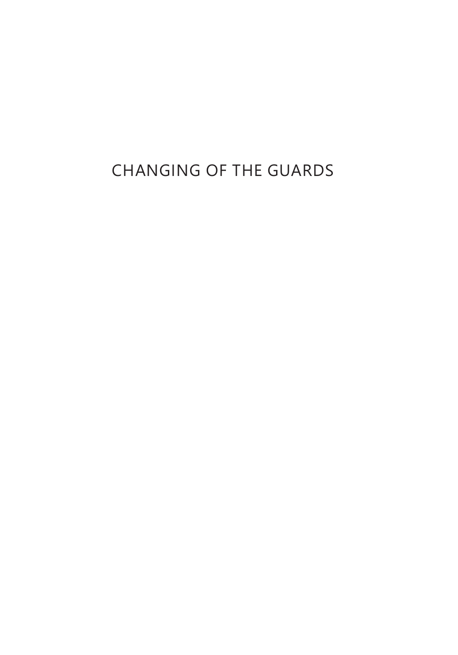# CHANGING OF THE GUARDS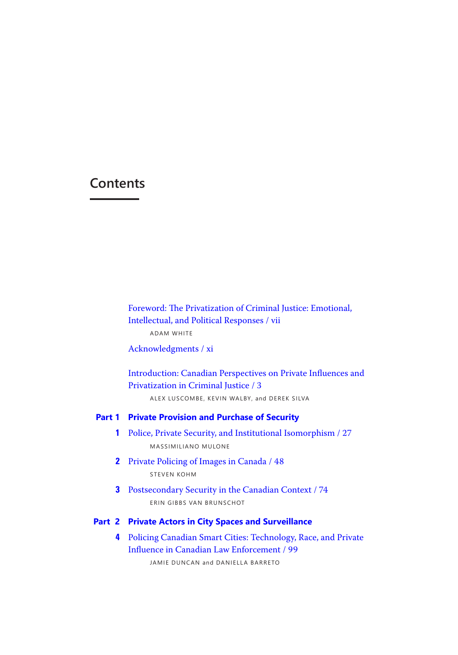# <span id="page-1-0"></span>**Contents**

Foreword: The Privatization of Criminal Justice: Emotional, Intellectual, and Political Responses / vii

ADAM WHITE

Acknowledgments / xi

 [Introduction: Canadian Perspectives on Private Influences and](#page-3-0) Privatization in Criminal Justice / 3

ALEX LUSCOMBE, KEVIN WALBY, and DEREK SILVA

#### **Part 1 Private Provision and Purchase of Security**

- **1** Police, Private Security, and Institutional Isomorphism / 27 MASSIMILIANO MULONE
- **2** Private Policing of Images in Canada / 48 STEVEN KOHM
- **3** Postsecondary Security in the Canadian Context / 74 ERIN GIBBS VAN BRUNSCHOT

# **Part 2 Private Actors in City Spaces and Surveillance**

**4** Policing Canadian Smart Cities: Technology, Race, and Private Influence in Canadian Law Enforcement / 99

JAMIE DUNCAN and DANIELLA BARRETO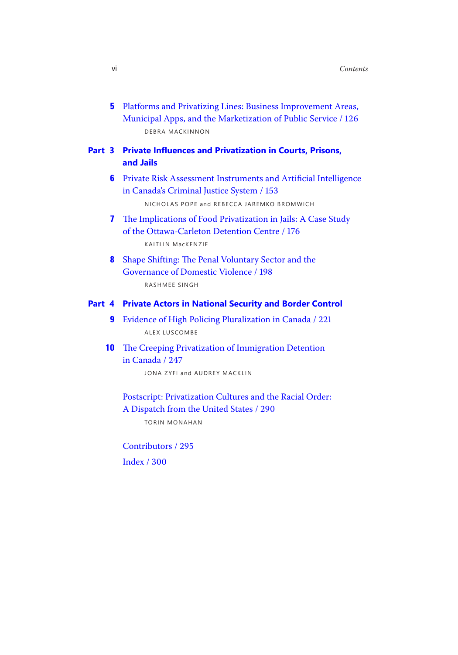**5** Platforms and Privatizing Lines: Business Improvement Areas, Municipal Apps, and the Marketization of Public Service / 126 DEBRA MACKINNON

# **Part 3 Private Influences and Privatization in Courts, Prisons, and Jails**

- **6** Private Risk Assessment Instruments and Artificial Intelligence in Canada's Criminal Justice System / 153 NICHOLAS POPE and REBECCA JAREMKO BROMWICH
- **7** The Implications of Food Privatization in Jails: A Case Study of the Ottawa-Carleton Detention Centre / 176 KAITLIN MacKENZIE
- **8** Shape Shifting: The Penal Voluntary Sector and the Governance of Domestic Violence / 198 RASHMEE SINGH

### **Part 4 Private Actors in National Security and Border Control**

- **9** Evidence of High Policing Pluralization in Canada / 221 ALEX LUSCOMBE
- **10** The Creeping Privatization of Immigration Detention in Canada / 247

JONA ZYFI and AUDREY MACKLIN

 Postscript: Privatization Cultures and the Racial Order: A Dispatch from the United States / 290

TORIN MONAHAN

Contributors / 295

Index / 300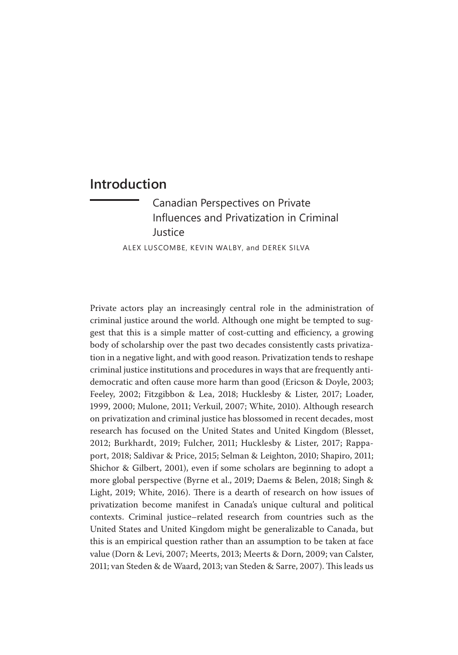# <span id="page-3-0"></span>**Introduction**

Canadian Perspectives on Private [Influences and Privatization in Criminal](#page-1-0)  Justice

ALEX LUSCOMBE, KEVIN WALBY, and DEREK SILVA

Private actors play an increasingly central role in the administration of criminal justice around the world. Although one might be tempted to suggest that this is a simple matter of cost-cutting and efficiency, a growing body of scholarship over the past two decades consistently casts privatization in a negative light, and with good reason. Privatization tends to reshape criminal justice institutions and procedures in ways that are frequently antidemocratic and often cause more harm than good (Ericson & Doyle, 2003; Feeley, 2002; Fitzgibbon & Lea, 2018; Hucklesby & Lister, 2017; Loader, 1999, 2000; Mulone, 2011; Verkuil, 2007; White, 2010). Although research on privatization and criminal justice has blossomed in recent decades, most research has focused on the United States and United Kingdom (Blesset, 2012; Burkhardt, 2019; Fulcher, 2011; Hucklesby & Lister, 2017; Rappaport, 2018; Saldivar & Price, 2015; Selman & Leighton, 2010; Shapiro, 2011; Shichor & Gilbert, 2001), even if some scholars are beginning to adopt a more global perspective (Byrne et al., 2019; Daems & Belen, 2018; Singh & Light, 2019; White, 2016). There is a dearth of research on how issues of privatization become manifest in Canada's unique cultural and political contexts. Criminal justice–related research from countries such as the United States and United Kingdom might be generalizable to Canada, but this is an empirical question rather than an assumption to be taken at face value (Dorn & Levi, 2007; Meerts, 2013; Meerts & Dorn, 2009; van Calster, 2011; van Steden & de Waard, 2013; van Steden & Sarre, 2007). This leads us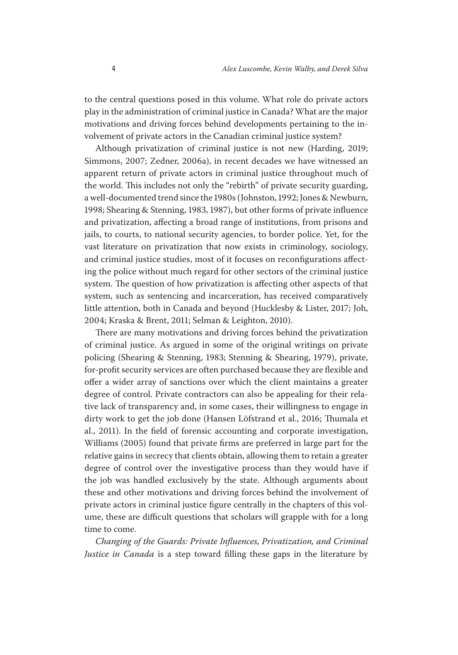to the central questions posed in this volume. What role do private actors play in the administration of criminal justice in Canada? What are the major motivations and driving forces behind developments pertaining to the involvement of private actors in the Canadian criminal justice system?

 ing the police without much regard for other sectors of the criminal justice Although privatization of criminal justice is not new (Harding, 2019; Simmons, 2007; Zedner, 2006a), in recent decades we have witnessed an apparent return of private actors in criminal justice throughout much of the world. This includes not only the "rebirth" of private security guarding, a well-documented trend since the 1980s (Johnston, 1992; Jones & Newburn, 1998; Shearing & Stenning, 1983, 1987), but other forms of private influence and privatization, affecting a broad range of institutions, from prisons and jails, to courts, to national security agencies, to border police. Yet, for the vast literature on privatization that now exists in criminology, sociology, and criminal justice studies, most of it focuses on reconfigurations affectsystem. The question of how privatization is affecting other aspects of that system, such as sentencing and incarceration, has received comparatively little attention, both in Canada and beyond (Hucklesby & Lister, 2017; Joh, 2004; Kraska & Brent, 2011; Selman & Leighton, 2010).

There are many motivations and driving forces behind the privatization of criminal justice. As argued in some of the original writings on private policing (Shearing & Stenning, 1983; Stenning & Shearing, 1979), private, for-profit security services are often purchased because they are flexible and offer a wider array of sanctions over which the client maintains a greater degree of control. Private contractors can also be appealing for their relative lack of transparency and, in some cases, their willingness to engage in dirty work to get the job done (Hansen Löfstrand et al., 2016; Thumala et al., 2011). In the field of forensic accounting and corporate investigation, Williams (2005) found that private firms are preferred in large part for the relative gains in secrecy that clients obtain, allowing them to retain a greater degree of control over the investigative process than they would have if the job was handled exclusively by the state. Although arguments about these and other motivations and driving forces behind the involvement of private actors in criminal justice figure centrally in the chapters of this volume, these are difficult questions that scholars will grapple with for a long time to come.

*Changing of the Guards: Private Influences, Privatization, and Criminal Justice in Canada* is a step toward filling these gaps in the literature by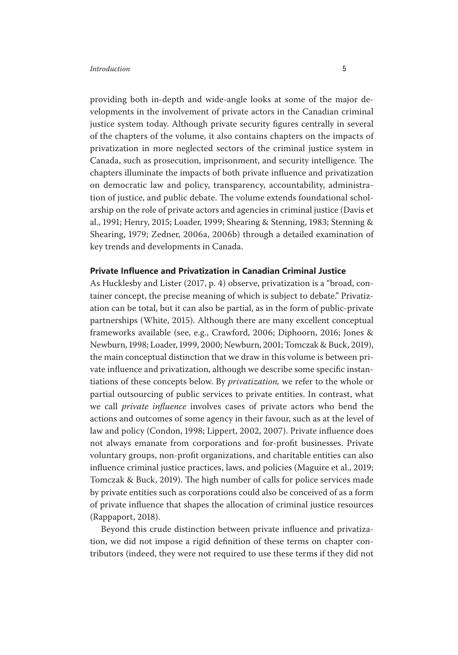providing both in-depth and wide-angle looks at some of the major developments in the involvement of private actors in the Canadian criminal justice system today. Although private security figures centrally in several of the chapters of the volume, it also contains chapters on the impacts of privatization in more neglected sectors of the criminal justice system in Canada, such as prosecution, imprisonment, and security intelligence. The chapters illuminate the impacts of both private influence and privatization on democratic law and policy, transparency, accountability, administration of justice, and public debate. The volume extends foundational scholarship on the role of private actors and agencies in criminal justice (Davis et al., 1991; Henry, 2015; Loader, 1999; Shearing & Stenning, 1983; Stenning & Shearing, 1979; Zedner, 2006a, 2006b) through a detailed examination of key trends and developments in Canada.

# **Private Influence and Privatization in Canadian Criminal Justice**

As Hucklesby and Lister (2017, p. 4) observe, privatization is a "broad, container concept, the precise meaning of which is subject to debate." Privatization can be total, but it can also be partial, as in the form of public-private partnerships (White, 2015). Although there are many excellent conceptual frameworks available (see, e.g., Crawford, 2006; Diphoorn, 2016; Jones & Newburn, 1998; Loader, 1999, 2000; Newburn, 2001; Tomczak & Buck, 2019), the main conceptual distinction that we draw in this volume is between private influence and privatization, although we describe some specific instantiations of these concepts below. By *privatization,* we refer to the whole or partial outsourcing of public services to private entities. In contrast, what we call *private influence* involves cases of private actors who bend the actions and outcomes of some agency in their favour, such as at the level of law and policy (Condon, 1998; Lippert, 2002, 2007). Private influence does not always emanate from corporations and for-profit businesses. Private voluntary groups, non-profit organizations, and charitable entities can also influence criminal justice practices, laws, and policies (Maguire et al., 2019; Tomczak & Buck, 2019). The high number of calls for police services made by private entities such as corporations could also be conceived of as a form of private influence that shapes the allocation of criminal justice resources (Rappaport, 2018).

Beyond this crude distinction between private influence and privatization, we did not impose a rigid definition of these terms on chapter contributors (indeed, they were not required to use these terms if they did not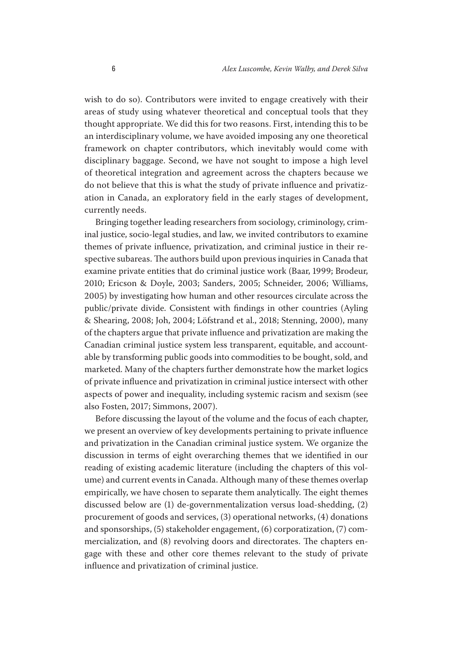wish to do so). Contributors were invited to engage creatively with their areas of study using whatever theoretical and conceptual tools that they thought appropriate. We did this for two reasons. First, intending this to be an interdisciplinary volume, we have avoided imposing any one theoretical framework on chapter contributors, which inevitably would come with disciplinary baggage. Second, we have not sought to impose a high level of theoretical integration and agreement across the chapters because we do not believe that this is what the study of private influence and privatization in Canada, an exploratory field in the early stages of development, currently needs.

Bringing together leading researchers from sociology, criminology, criminal justice, socio-legal studies, and law, we invited contributors to examine themes of private influence, privatization, and criminal justice in their respective subareas. The authors build upon previous inquiries in Canada that examine private entities that do criminal justice work (Baar, 1999; Brodeur, 2010; Ericson & Doyle, 2003; Sanders, 2005; Schneider, 2006; Williams, 2005) by investigating how human and other resources circulate across the public/private divide. Consistent with findings in other countries (Ayling & Shearing, 2008; Joh, 2004; Löfstrand et al., 2018; Stenning, 2000), many of the chapters argue that private influence and privatization are making the Canadian criminal justice system less transparent, equitable, and accountable by transforming public goods into commodities to be bought, sold, and marketed. Many of the chapters further demonstrate how the market logics of private influence and privatization in criminal justice intersect with other aspects of power and inequality, including systemic racism and sexism (see also Fosten, 2017; Simmons, 2007).

Before discussing the layout of the volume and the focus of each chapter, we present an overview of key developments pertaining to private influence and privatization in the Canadian criminal justice system. We organize the discussion in terms of eight overarching themes that we identified in our reading of existing academic literature (including the chapters of this volume) and current events in Canada. Although many of these themes overlap empirically, we have chosen to separate them analytically. The eight themes discussed below are (1) de-governmentalization versus load-shedding, (2) procurement of goods and services, (3) operational networks, (4) donations and sponsorships, (5) stakeholder engagement, (6) corporatization, (7) commercialization, and (8) revolving doors and directorates. The chapters engage with these and other core themes relevant to the study of private influence and privatization of criminal justice.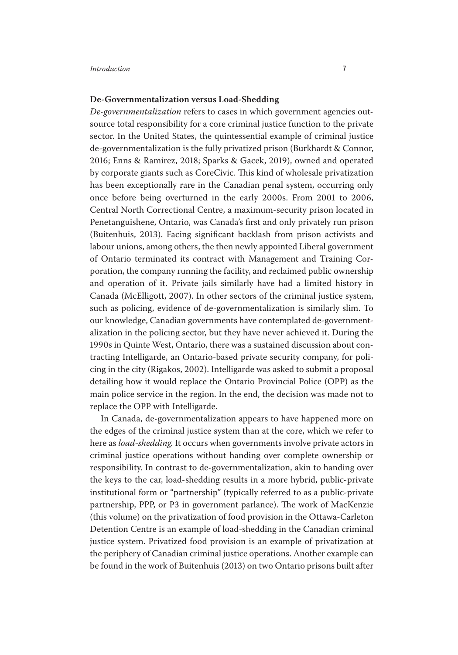### **De-Governmentalization versus Load-Shedding**

*Degovernmentalization* refers to cases in which government agencies outsource total responsibility for a core criminal justice function to the private sector. In the United States, the quintessential example of criminal justice de-governmentalization is the fully privatized prison (Burkhardt & Connor, 2016; Enns & Ramirez, 2018; Sparks & Gacek, 2019), owned and operated by corporate giants such as CoreCivic. This kind of wholesale privatization has been exceptionally rare in the Canadian penal system, occurring only once before being overturned in the early 2000s. From 2001 to 2006, Central North Correctional Centre, a maximum-security prison located in Penetanguishene, Ontario, was Canada's first and only privately run prison (Buitenhuis, 2013). Facing significant backlash from prison activists and labour unions, among others, the then newly appointed Liberal government of Ontario terminated its contract with Management and Training Corporation, the company running the facility, and reclaimed public ownership and operation of it. Private jails similarly have had a limited history in Canada (McElligott, 2007). In other sectors of the criminal justice system, such as policing, evidence of de-governmentalization is similarly slim. To our knowledge, Canadian governments have contemplated de-governmentalization in the policing sector, but they have never achieved it. During the 1990s in Quinte West, Ontario, there was a sustained discussion about contracting Intelligarde, an Ontario-based private security company, for policing in the city (Rigakos, 2002). Intelligarde was asked to submit a proposal detailing how it would replace the Ontario Provincial Police (OPP) as the main police service in the region. In the end, the decision was made not to replace the OPP with Intelligarde.

In Canada, de-governmentalization appears to have happened more on the edges of the criminal justice system than at the core, which we refer to here as *load-shedding*. It occurs when governments involve private actors in criminal justice operations without handing over complete ownership or responsibility. In contrast to de-governmentalization, akin to handing over the keys to the car, load-shedding results in a more hybrid, public-private institutional form or "partnership" (typically referred to as a public-private partnership, PPP, or P3 in government parlance). The work of MacKenzie (this volume) on the privatization of food provision in the Ottawa-Carleton Detention Centre is an example of load-shedding in the Canadian criminal justice system. Privatized food provision is an example of privatization at the periphery of Canadian criminal justice operations. Another example can be found in the work of Buitenhuis (2013) on two Ontario prisons built after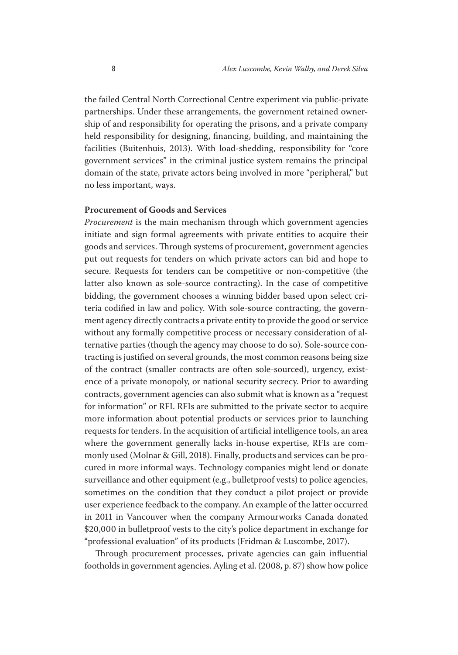the failed Central North Correctional Centre experiment via public-private partnerships. Under these arrangements, the government retained ownership of and responsibility for operating the prisons, and a private company held responsibility for designing, financing, building, and maintaining the facilities (Buitenhuis, 2013). With load-shedding, responsibility for "core government services" in the criminal justice system remains the principal domain of the state, private actors being involved in more "peripheral," but no less important, ways.

# **Procurement of Goods and Services**

*Procurement* is the main mechanism through which government agencies initiate and sign formal agreements with private entities to acquire their goods and services. Through systems of procurement, government agencies put out requests for tenders on which private actors can bid and hope to secure. Requests for tenders can be competitive or non-competitive (the latter also known as sole-source contracting). In the case of competitive bidding, the government chooses a winning bidder based upon select criteria codified in law and policy. With sole-source contracting, the government agency directly contracts a private entity to provide the good or service without any formally competitive process or necessary consideration of alternative parties (though the agency may choose to do so). Sole-source contracting is justified on several grounds, the most common reasons being size of the contract (smaller contracts are often sole-sourced), urgency, existence of a private monopoly, or national security secrecy. Prior to awarding contracts, government agencies can also submit what is known as a "request for information" or RFI. RFIs are submitted to the private sector to acquire more information about potential products or services prior to launching requests for tenders. In the acquisition of artificial intelligence tools, an area where the government generally lacks in-house expertise, RFIs are commonly used (Molnar & Gill, 2018). Finally, products and services can be procured in more informal ways. Technology companies might lend or donate surveillance and other equipment (e.g., bulletproof vests) to police agencies, sometimes on the condition that they conduct a pilot project or provide user experience feedback to the company. An example of the latter occurred in 2011 in Vancouver when the company Armourworks Canada donated \$20,000 in bulletproof vests to the city's police department in exchange for "professional evaluation" of its products (Fridman & Luscombe, 2017).

Through procurement processes, private agencies can gain influential footholds in government agencies. Ayling et al. (2008, p. 87) show how police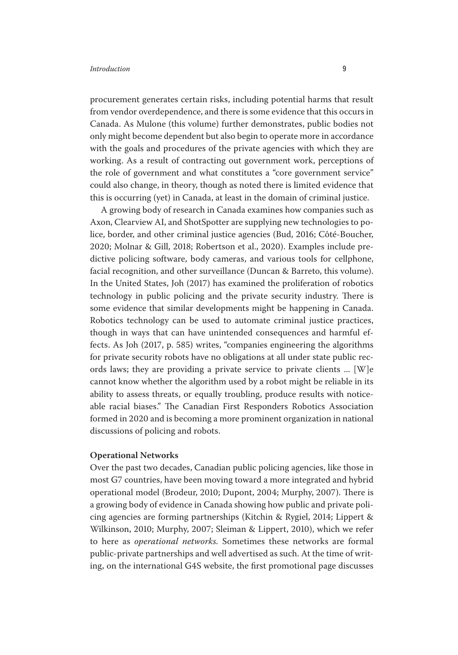procurement generates certain risks, including potential harms that result from vendor overdependence, and there is some evidence that this occurs in Canada. As Mulone (this volume) further demonstrates, public bodies not only might become dependent but also begin to operate more in accordance with the goals and procedures of the private agencies with which they are working. As a result of contracting out government work, perceptions of the role of government and what constitutes a "core government service" could also change, in theory, though as noted there is limited evidence that this is occurring (yet) in Canada, at least in the domain of criminal justice.

A growing body of research in Canada examines how companies such as Axon, Clearview AI, and ShotSpotter are supplying new technologies to police, border, and other criminal justice agencies (Bud, 2016; Côté-Boucher, 2020; Molnar & Gill, 2018; Robertson et al., 2020). Examples include predictive policing software, body cameras, and various tools for cellphone, facial recognition, and other surveillance (Duncan & Barreto, this volume). In the United States, Joh (2017) has examined the proliferation of robotics technology in public policing and the private security industry. There is some evidence that similar developments might be happening in Canada. Robotics technology can be used to automate criminal justice practices, though in ways that can have unintended consequences and harmful effects. As Joh (2017, p. 585) writes, "companies engineering the algorithms for private security robots have no obligations at all under state public records laws; they are providing a private service to private clients ... [W]e cannot know whether the algorithm used by a robot might be reliable in its ability to assess threats, or equally troubling, produce results with noticeable racial biases." The Canadian First Responders Robotics Association formed in 2020 and is becoming a more prominent organization in national discussions of policing and robots.

#### **Operational Networks**

Over the past two decades, Canadian public policing agencies, like those in most G7 countries, have been moving toward a more integrated and hybrid operational model (Brodeur, 2010; Dupont, 2004; Murphy, 2007). There is a growing body of evidence in Canada showing how public and private policing agencies are forming partnerships (Kitchin & Rygiel, 2014; Lippert & Wilkinson, 2010; Murphy, 2007; Sleiman & Lippert, 2010), which we refer to here as *operational networks.* Sometimes these networks are formal public-private partnerships and well advertised as such. At the time of writing, on the international G4S website, the first promotional page discusses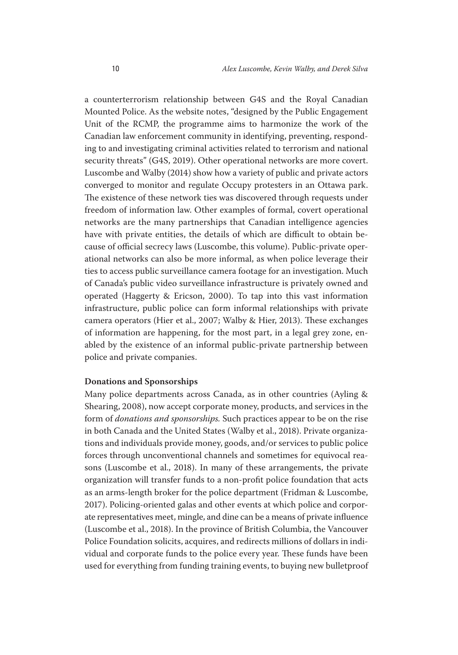ties to access public surveillance camera footage for an investigation. Much a counterterrorism relationship between G4S and the Royal Canadian Mounted Police. As the website notes, "designed by the Public Engagement Unit of the RCMP, the programme aims to harmonize the work of the Canadian law enforcement community in identifying, preventing, responding to and investigating criminal activities related to terrorism and national security threats" (G4S, 2019). Other operational networks are more covert. Luscombe and Walby (2014) show how a variety of public and private actors converged to monitor and regulate Occupy protesters in an Ottawa park. The existence of these network ties was discovered through requests under freedom of information law. Other examples of formal, covert operational networks are the many partnerships that Canadian intelligence agencies have with private entities, the details of which are difficult to obtain because of official secrecy laws (Luscombe, this volume). Public-private operational networks can also be more informal, as when police leverage their of Canada's public video surveillance infrastructure is privately owned and operated (Haggerty & Ericson, 2000). To tap into this vast information infrastructure, public police can form informal relationships with private camera operators (Hier et al., 2007; Walby & Hier, 2013). These exchanges of information are happening, for the most part, in a legal grey zone, enabled by the existence of an informal public-private partnership between police and private companies.

### **Donations and Sponsorships**

Many police departments across Canada, as in other countries (Ayling & Shearing, 2008), now accept corporate money, products, and services in the form of *donations and sponsorships.* Such practices appear to be on the rise in both Canada and the United States (Walby et al., 2018). Private organizations and individuals provide money, goods, and/or services to public police forces through unconventional channels and sometimes for equivocal reasons (Luscombe et al., 2018). In many of these arrangements, the private organization will transfer funds to a non-profit police foundation that acts as an arms-length broker for the police department (Fridman & Luscombe, 2017). Policing-oriented galas and other events at which police and corporate representatives meet, mingle, and dine can be a means of private influence (Luscombe et al., 2018). In the province of British Columbia, the Vancouver Police Foundation solicits, acquires, and redirects millions of dollars in individual and corporate funds to the police every year. These funds have been used for everything from funding training events, to buying new bulletproof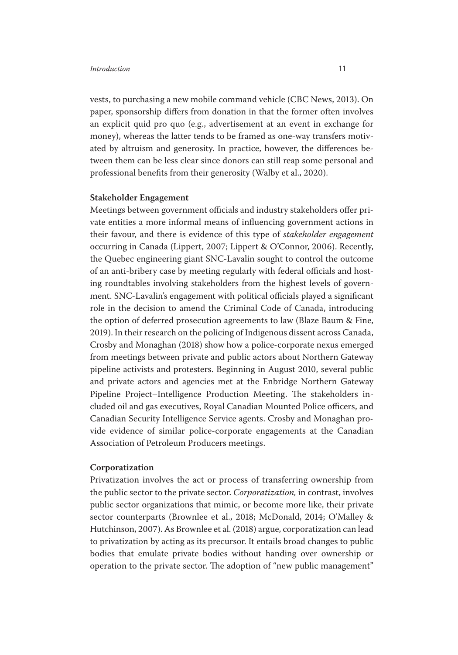vests, to purchasing a new mobile command vehicle (CBC News, 2013). On paper, sponsorship differs from donation in that the former often involves an explicit quid pro quo (e.g., advertisement at an event in exchange for money), whereas the latter tends to be framed as one-way transfers motivated by altruism and generosity. In practice, however, the differences between them can be less clear since donors can still reap some personal and professional benefits from their generosity (Walby et al., 2020).

# **Stakeholder Engagement**

Meetings between government officials and industry stakeholders offer private entities a more informal means of influencing government actions in their favour, and there is evidence of this type of *stakeholder engagement*  occurring in Canada (Lippert, 2007; Lippert & O'Connor, 2006). Recently, the Quebec engineering giant SNC-Lavalin sought to control the outcome of an anti-bribery case by meeting regularly with federal officials and hosting roundtables involving stakeholders from the highest levels of government. SNC-Lavalin's engagement with political officials played a significant role in the decision to amend the Criminal Code of Canada, introducing the option of deferred prosecution agreements to law (Blaze Baum & Fine, 2019). In their research on the policing of Indigenous dissent across Canada, Crosby and Monaghan (2018) show how a police-corporate nexus emerged from meetings between private and public actors about Northern Gateway pipeline activists and protesters. Beginning in August 2010, several public and private actors and agencies met at the Enbridge Northern Gateway Pipeline Project–Intelligence Production Meeting. The stakeholders included oil and gas executives, Royal Canadian Mounted Police officers, and Canadian Security Intelligence Service agents. Crosby and Monaghan provide evidence of similar police-corporate engagements at the Canadian Association of Petroleum Producers meetings.

# **Corporatization**

Privatization involves the act or process of transferring ownership from the public sector to the private sector. *Corporatization,* in contrast, involves public sector organizations that mimic, or become more like, their private sector counterparts (Brownlee et al., 2018; McDonald, 2014; O'Malley & Hutchinson, 2007). As Brownlee et al. (2018) argue, corporatization can lead to privatization by acting as its precursor. It entails broad changes to public bodies that emulate private bodies without handing over ownership or operation to the private sector. The adoption of "new public management"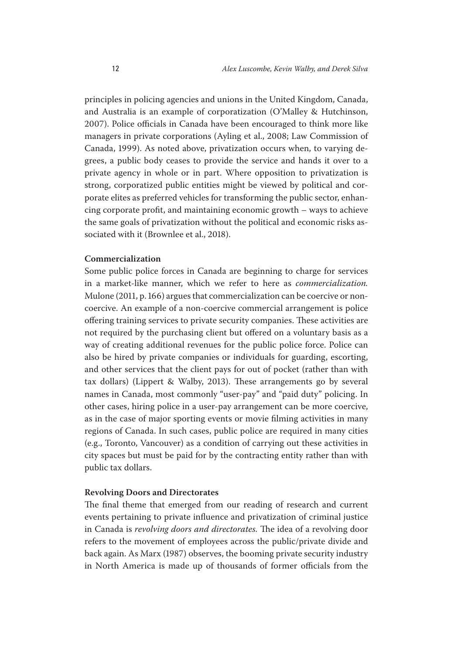principles in policing agencies and unions in the United Kingdom, Canada, and Australia is an example of corporatization (O'Malley & Hutchinson, 2007). Police officials in Canada have been encouraged to think more like managers in private corporations (Ayling et al., 2008; Law Commission of Canada, 1999). As noted above, privatization occurs when, to varying degrees, a public body ceases to provide the service and hands it over to a private agency in whole or in part. Where opposition to privatization is strong, corporatized public entities might be viewed by political and corporate elites as preferred vehicles for transforming the public sector, enhancing corporate profit, and maintaining economic growth – ways to achieve the same goals of privatization without the political and economic risks associated with it (Brownlee et al., 2018).

## **Commercialization**

Some public police forces in Canada are beginning to charge for services in a market-like manner, which we refer to here as *commercialization.*  Mulone (2011, p. 166) argues that commercialization can be coercive or noncoercive. An example of a non-coercive commercial arrangement is police offering training services to private security companies. These activities are not required by the purchasing client but offered on a voluntary basis as a way of creating additional revenues for the public police force. Police can also be hired by private companies or individuals for guarding, escorting, and other services that the client pays for out of pocket (rather than with tax dollars) (Lippert & Walby, 2013). These arrangements go by several names in Canada, most commonly "user-pay" and "paid duty" policing. In other cases, hiring police in a user-pay arrangement can be more coercive, as in the case of major sporting events or movie filming activities in many regions of Canada. In such cases, public police are required in many cities (e.g., Toronto, Vancouver) as a condition of carrying out these activities in city spaces but must be paid for by the contracting entity rather than with public tax dollars.

#### **Revolving Doors and Directorates**

The final theme that emerged from our reading of research and current events pertaining to private influence and privatization of criminal justice in Canada is *revolving doors and directorates.* The idea of a revolving door refers to the movement of employees across the public/private divide and back again. As Marx (1987) observes, the booming private security industry in North America is made up of thousands of former officials from the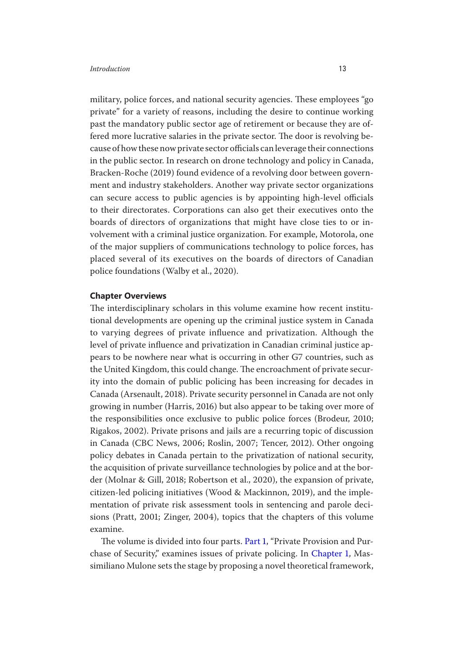in the public sector. In research on drone technology and policy in Canada, placed several of its executives on the boards of directors of Canadian military, police forces, and national security agencies. These employees "go private" for a variety of reasons, including the desire to continue working past the mandatory public sector age of retirement or because they are offered more lucrative salaries in the private sector. The door is revolving because of how these now private sector officials can leverage their connections Bracken-Roche (2019) found evidence of a revolving door between government and industry stakeholders. Another way private sector organizations can secure access to public agencies is by appointing high-level officials to their directorates. Corporations can also get their executives onto the boards of directors of organizations that might have close ties to or involvement with a criminal justice organization. For example, Motorola, one of the major suppliers of communications technology to police forces, has police foundations (Walby et al., 2020).

#### **Chapter Overviews**

 to varying degrees of private influence and privatization. Although the The interdisciplinary scholars in this volume examine how recent institutional developments are opening up the criminal justice system in Canada level of private influence and privatization in Canadian criminal justice appears to be nowhere near what is occurring in other G7 countries, such as the United Kingdom, this could change. The encroachment of private security into the domain of public policing has been increasing for decades in Canada (Arsenault, 2018). Private security personnel in Canada are not only growing in number (Harris, 2016) but also appear to be taking over more of the responsibilities once exclusive to public police forces (Brodeur, 2010; Rigakos, 2002). Private prisons and jails are a recurring topic of discussion in Canada (CBC News, 2006; Roslin, 2007; Tencer, 2012). Other ongoing policy debates in Canada pertain to the privatization of national security, the acquisition of private surveillance technologies by police and at the border (Molnar & Gill, 2018; Robertson et al., 2020), the expansion of private, citizen-led policing initiatives (Wood & Mackinnon, 2019), and the implementation of private risk assessment tools in sentencing and parole decisions (Pratt, 2001; Zinger, 2004), topics that the chapters of this volume examine.

The volume is divided into four parts. Part 1, "Private Provision and Purchase of Security," examines issues of private policing. In Chapter 1, Massimiliano Mulone sets the stage by proposing a novel theoretical framework,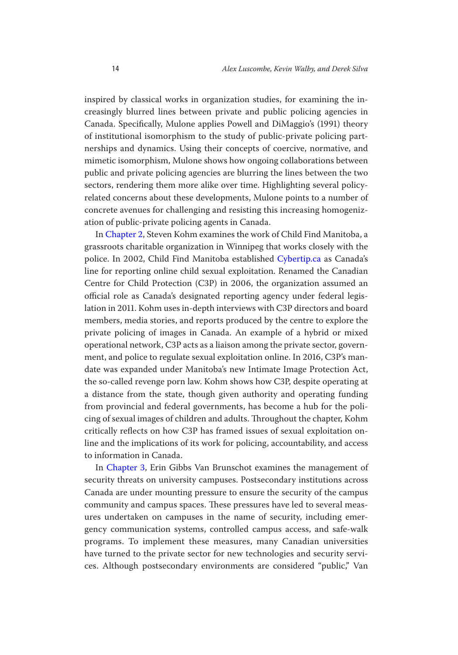nerships and dynamics. Using their concepts of coercive, normative, and inspired by classical works in organization studies, for examining the increasingly blurred lines between private and public policing agencies in Canada. Specifically, Mulone applies Powell and DiMaggio's (1991) theory of institutional isomorphism to the study of public-private policing partmimetic isomorphism, Mulone shows how ongoing collaborations between public and private policing agencies are blurring the lines between the two sectors, rendering them more alike over time. Highlighting several policyrelated concerns about these developments, Mulone points to a number of concrete avenues for challenging and resisting this increasing homogenization of public-private policing agents in Canada.

In Chapter 2, Steven Kohm examines the work of Child Find Manitoba, a grassroots charitable organization in Winnipeg that works closely with the police. In 2002, Child Find Manitoba established Cybertip.ca as Canada's line for reporting online child sexual exploitation. Renamed the Canadian Centre for Child Protection (C3P) in 2006, the organization assumed an official role as Canada's designated reporting agency under federal legislation in 2011. Kohm uses in-depth interviews with C3P directors and board members, media stories, and reports produced by the centre to explore the private policing of images in Canada. An example of a hybrid or mixed operational network, C3P acts as a liaison among the private sector, government, and police to regulate sexual exploitation online. In 2016, C3P's mandate was expanded under Manitoba's new Intimate Image Protection Act, the so-called revenge porn law. Kohm shows how C3P, despite operating at a distance from the state, though given authority and operating funding from provincial and federal governments, has become a hub for the policing of sexual images of children and adults. Throughout the chapter, Kohm critically reflects on how C3P has framed issues of sexual exploitation online and the implications of its work for policing, accountability, and access to information in Canada.

 ces. Although postsecondary environments are considered "public," Van In Chapter 3, Erin Gibbs Van Brunschot examines the management of security threats on university campuses. Postsecondary institutions across Canada are under mounting pressure to ensure the security of the campus community and campus spaces. These pressures have led to several measures undertaken on campuses in the name of security, including emergency communication systems, controlled campus access, and safe-walk programs. To implement these measures, many Canadian universities have turned to the private sector for new technologies and security servi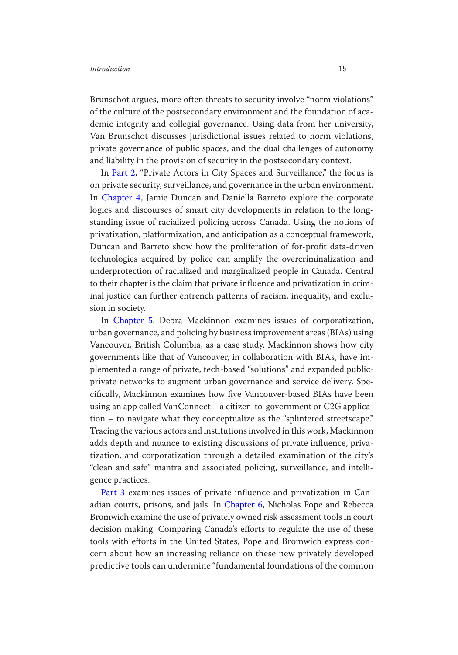Brunschot argues, more often threats to security involve "norm violations" of the culture of the postsecondary environment and the foundation of academic integrity and collegial governance. Using data from her university, Van Brunschot discusses jurisdictional issues related to norm violations, private governance of public spaces, and the dual challenges of autonomy and liability in the provision of security in the postsecondary context.

 privatization, platformization, and anticipation as a conceptual framework, to their chapter is the claim that private influence and privatization in crim- inal justice can further entrench patterns of racism, inequality, and exclu-In Part 2, "Private Actors in City Spaces and Surveillance," the focus is on private security, surveillance, and governance in the urban environment. In Chapter 4, Jamie Duncan and Daniella Barreto explore the corporate logics and discourses of smart city developments in relation to the longstanding issue of racialized policing across Canada. Using the notions of Duncan and Barreto show how the proliferation of for-profit data-driven technologies acquired by police can amplify the overcriminalization and underprotection of racialized and marginalized people in Canada. Central sion in society.

In Chapter 5, Debra Mackinnon examines issues of corporatization, urban governance, and policing by business improvement areas (BIAs) using Vancouver, British Columbia, as a case study. Mackinnon shows how city governments like that of Vancouver, in collaboration with BIAs, have implemented a range of private, tech-based "solutions" and expanded publicprivate networks to augment urban governance and service delivery. Specifically, Mackinnon examines how five Vancouver-based BIAs have been using an app called VanConnect – a citizen-to-government or C2G application – to navigate what they conceptualize as the "splintered streetscape." Tracing the various actors and institutions involved in this work, Mackinnon adds depth and nuance to existing discussions of private influence, privatization, and corporatization through a detailed examination of the city's "clean and safe" mantra and associated policing, surveillance, and intelligence practices.

 adian courts, prisons, and jails. In Chapter 6, Nicholas Pope and Rebecca tools with efforts in the United States, Pope and Bromwich express con- cern about how an increasing reliance on these new privately developed predictive tools can undermine "fundamental foundations of the common Part 3 examines issues of private influence and privatization in Can-Bromwich examine the use of privately owned risk assessment tools in court decision making. Comparing Canada's efforts to regulate the use of these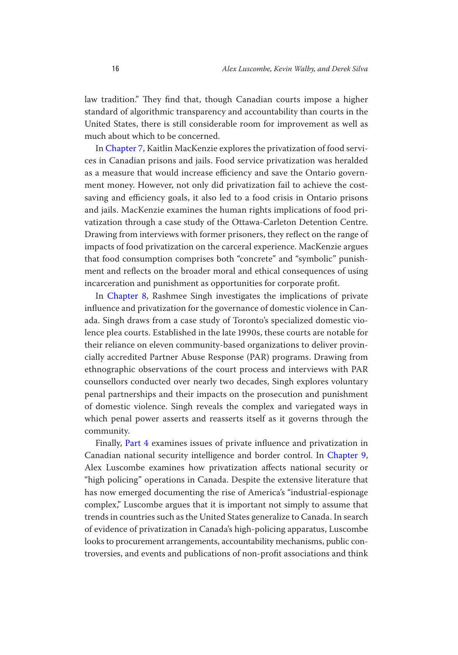law tradition." They find that, though Canadian courts impose a higher standard of algorithmic transparency and accountability than courts in the United States, there is still considerable room for improvement as well as much about which to be concerned.

In Chapter 7, Kaitlin MacKenzie explores the privatization of food services in Canadian prisons and jails. Food service privatization was heralded as a measure that would increase efficiency and save the Ontario government money. However, not only did privatization fail to achieve the costsaving and efficiency goals, it also led to a food crisis in Ontario prisons and jails. MacKenzie examines the human rights implications of food privatization through a case study of the Ottawa-Carleton Detention Centre. Drawing from interviews with former prisoners, they reflect on the range of impacts of food privatization on the carceral experience. MacKenzie argues that food consumption comprises both "concrete" and "symbolic" punishment and reflects on the broader moral and ethical consequences of using incarceration and punishment as opportunities for corporate profit.

In Chapter 8, Rashmee Singh investigates the implications of private influence and privatization for the governance of domestic violence in Canada. Singh draws from a case study of Toronto's specialized domestic violence plea courts. Established in the late 1990s, these courts are notable for their reliance on eleven community-based organizations to deliver provincially accredited Partner Abuse Response (PAR) programs. Drawing from ethnographic observations of the court process and interviews with PAR counsellors conducted over nearly two decades, Singh explores voluntary penal partnerships and their impacts on the prosecution and punishment of domestic violence. Singh reveals the complex and variegated ways in which penal power asserts and reasserts itself as it governs through the community.

 Canadian national security intelligence and border control. In Chapter 9, Alex Luscombe examines how privatization affects national security or Finally, Part 4 examines issues of private influence and privatization in "high policing" operations in Canada. Despite the extensive literature that has now emerged documenting the rise of America's "industrial-espionage complex," Luscombe argues that it is important not simply to assume that trends in countries such as the United States generalize to Canada. In search of evidence of privatization in Canada's high-policing apparatus, Luscombe looks to procurement arrangements, accountability mechanisms, public controversies, and events and publications of non-profit associations and think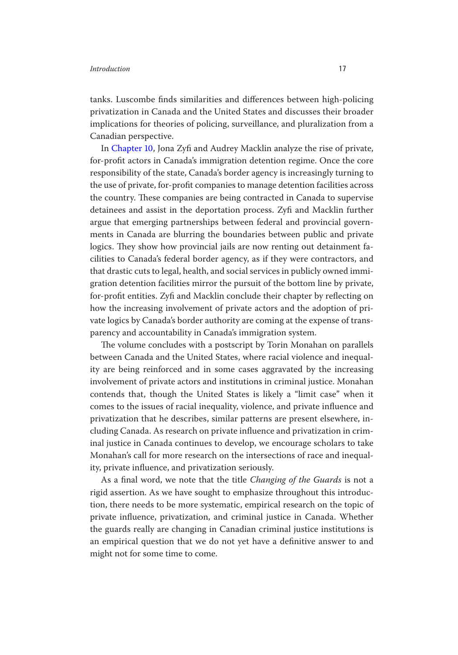tanks. Luscombe finds similarities and differences between high-policing privatization in Canada and the United States and discusses their broader implications for theories of policing, surveillance, and pluralization from a Canadian perspective.

In Chapter 10, Jona Zyfi and Audrey Macklin analyze the rise of private, for-profit actors in Canada's immigration detention regime. Once the core responsibility of the state, Canada's border agency is increasingly turning to the use of private, for-profit companies to manage detention facilities across the country. These companies are being contracted in Canada to supervise detainees and assist in the deportation process. Zyfi and Macklin further argue that emerging partnerships between federal and provincial governments in Canada are blurring the boundaries between public and private logics. They show how provincial jails are now renting out detainment facilities to Canada's federal border agency, as if they were contractors, and that drastic cuts to legal, health, and social services in publicly owned immigration detention facilities mirror the pursuit of the bottom line by private, for-profit entities. Zyfi and Macklin conclude their chapter by reflecting on how the increasing involvement of private actors and the adoption of private logics by Canada's border authority are coming at the expense of transparency and accountability in Canada's immigration system.

The volume concludes with a postscript by Torin Monahan on parallels between Canada and the United States, where racial violence and inequality are being reinforced and in some cases aggravated by the increasing involvement of private actors and institutions in criminal justice. Monahan contends that, though the United States is likely a "limit case" when it comes to the issues of racial inequality, violence, and private influence and privatization that he describes, similar patterns are present elsewhere, including Canada. As research on private influence and privatization in criminal justice in Canada continues to develop, we encourage scholars to take Monahan's call for more research on the intersections of race and inequality, private influence, and privatization seriously.

As a final word, we note that the title *Changing of the Guards* is not a rigid assertion. As we have sought to emphasize throughout this introduction, there needs to be more systematic, empirical research on the topic of private influence, privatization, and criminal justice in Canada. Whether the guards really are changing in Canadian criminal justice institutions is an empirical question that we do not yet have a definitive answer to and might not for some time to come.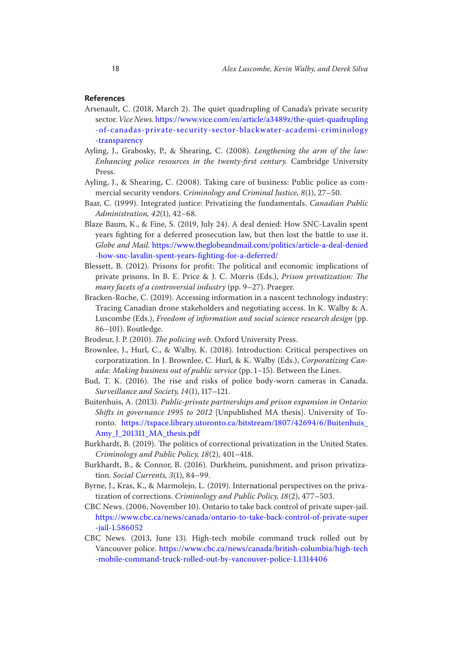#### **References**

- Arsenault, C. (2018, March 2). The quiet quadrupling of Canada's private security sector. *Vice News.* https://www.vice.com/en/article/a3489z/the-quiet-quadrupling [-of-canadas-private-security-sector-blackwater-academi-criminology](https://www.vice.com/en/article/a3489z/the-quiet-quadrupling-of-canadas-private-security-sector-blackwater-academi-criminology-transparency) [-transparency](https://www.vice.com/en/article/a3489z/the-quiet-quadrupling-of-canadas-private-security-sector-blackwater-academi-criminology-transparency)
- Ayling, J., Grabosky, P., & Shearing, C. (2008). *Lengthening the arm of the law:*  Enhancing police resources in the twenty-first century. Cambridge University Press.
- Ayling, J., & Shearing, C. (2008). Taking care of business: Public police as commercial security vendors. *Criminology and Criminal Justice, 8*(1), 27–50.
- Baar, C. (1999). Integrated justice: Privatizing the fundamentals. *Canadian Public Administration, 42*(1), 42–68.
- Blaze Baum, K., & Fine, S. (2019, July 24). A deal denied: How SNC-Lavalin spent years fighting for a deferred prosecution law, but then lost the battle to use it. *Globe and Mail.* [https://www.theglobeandmail.com/politics/article-a-deal-denied](https://www.theglobeandmail.com/politics/article-a-deal-denied-how-snc-lavalin-spent-years-fighting-for-a-deferred/)  [-how-snc-lavalin-spent-years-fighting-for-a-deferred/](https://www.theglobeandmail.com/politics/article-a-deal-denied-how-snc-lavalin-spent-years-fighting-for-a-deferred/)
- Blessett, B. (2012). Prisons for profit: The political and economic implications of private prisons. In B. E. Price & J. C. Morris (Eds.), *Prison privatization: The many facets of a controversial industry* (pp. 9–27). Praeger.
- Bracken-Roche, C. (2019). Accessing information in a nascent technology industry: Tracing Canadian drone stakeholders and negotiating access. In K. Walby & A. Luscombe (Eds.), *Freedom of information and social science research design* (pp. 86–101). Routledge.
- Brodeur, J. P. (2010). *The policing web.* Oxford University Press.
- Brownlee, J., Hurl, C., & Walby, K. (2018). Introduction: Critical perspectives on corporatization. In J. Brownlee, C. Hurl, & K. Walby (Eds.), *Corporatizing Canada: Making business out of public service* (pp. 1–15). Between the Lines.
- Bud, T. K. (2016). The rise and risks of police body-worn cameras in Canada. *Surveillance and Society, 14*(1), 117–121.
- Buitenhuis, A. (2013). *Public-private partnerships and prison expansion in Ontario: Shifts in governance 1995 to 2012* [Unpublished MA thesis]. University of Toronto. [https://tspace.library.utoronto.ca/bitstream/1807/42694/6/Buitenhuis\\_](https://tspace.library.utoronto.ca/bitstream/1807/42694/6/Buitenhuis_Amy_J_201311_MA_thesis.pdf) Amy J 201311 MA thesis.pdf
- Burkhardt, B. (2019). The politics of correctional privatization in the United States. *Criminology and Public Policy, 18*(2), 401–418.
- Burkhardt, B., & Connor, B. (2016). Durkheim, punishment, and prison privatization. *Social Currents, 3*(1), 84–99.
- Byrne, J., Kras, K., & Marmolejo, L. (2019). International perspectives on the privatization of corrections. *Criminology and Public Policy, 18*(2), 477–503.
- CBC News. (2006, November 10). Ontario to take back control of private super-jail. [https://www.cbc.ca/news/canada/ontario-to-take-back-control-of-private-super](https://www.cbc.ca/news/canada/ontario-to-take-back-control-of-private-super-jail-1.586052) [-jail-1.586052](https://www.cbc.ca/news/canada/ontario-to-take-back-control-of-private-super-jail-1.586052)
- CBC News. (2013, June 13). High-tech mobile command truck rolled out by Vancouver police. [https://www.cbc.ca/news/canada/british-columbia/high-tech](https://www.cbc.ca/news/canada/british-columbia/high-tech-mobile-command-truck-rolled-out-by-vancouver-police-1.1314406)  [-mobile-command-truck-rolled-out-by-vancouver-police-1.1314406](https://www.cbc.ca/news/canada/british-columbia/high-tech-mobile-command-truck-rolled-out-by-vancouver-police-1.1314406)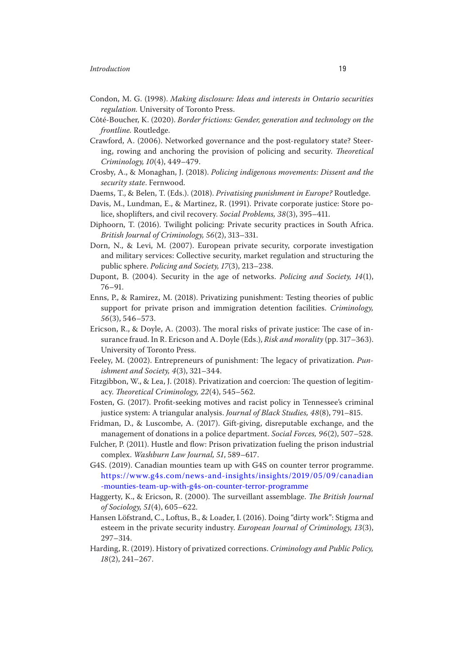- Condon, M. G. (1998). *Making disclosure: Ideas and interests in Ontario securities regulation.* University of Toronto Press.
- Côté-Boucher, K. (2020). *Border frictions: Gender, generation and technology on the frontline.* Routledge.
- Crawford, A. (2006). Networked governance and the post-regulatory state? Steering, rowing and anchoring the provision of policing and security. *Theoretical Criminology, 10*(4), 449–479.
- Crosby, A., & Monaghan, J. (2018). *Policing indigenous movements: Dissent and the security state*. Fernwood.
- Daems, T., & Belen, T. (Eds.). (2018). *Privatising punishment in Europe?* Routledge.
- Davis, M., Lundman, E., & Martinez, R. (1991). Private corporate justice: Store police, shoplifters, and civil recovery. *Social Problems, 38*(3), 395–411.
- Diphoorn, T. (2016). Twilight policing: Private security practices in South Africa. *British Journal of Criminology, 56*(2), 313–331.
- Dorn, N., & Levi, M. (2007). European private security, corporate investigation and military services: Collective security, market regulation and structuring the public sphere. *Policing and Society, 17*(3), 213–238.
- Dupont, B. (2004). Security in the age of networks. *Policing and Society, 14*(1), 76–91.
- Enns, P., & Ramirez, M. (2018). Privatizing punishment: Testing theories of public support for private prison and immigration detention facilities. *Criminology, 56*(3), 546–573.
- Ericson, R., & Doyle, A. (2003). The moral risks of private justice: The case of insurance fraud. In R. Ericson and A. Doyle (Eds.), *Risk and morality* (pp. 317–363). University of Toronto Press.
- Feeley, M. (2002). Entrepreneurs of punishment: The legacy of privatization. *Punishment and Society, 4*(3), 321–344.
- Fitzgibbon, W., & Lea, J. (2018). Privatization and coercion: The question of legitimacy. *Theoretical Criminology, 22*(4), 545–562.
- Fosten, G. (2017). Profit-seeking motives and racist policy in Tennessee's criminal justice system: A triangular analysis. *Journal of Black Studies, 48*(8), 791–815.
- Fridman, D., & Luscombe, A. (2017). Gift-giving, disreputable exchange, and the management of donations in a police department. *Social Forces, 96*(2), 507–528.
- Fulcher, P. (2011). Hustle and flow: Prison privatization fueling the prison industrial complex. *Washburn Law Journal, 51*, 589–617.
- G4S. (2019). Canadian mounties team up with G4S on counter terror programme. [https://www.g4s.com/news-and-insights/insights/2019/05/09/canadian](https://www.g4s.com/news-and-insights/insights/2019/05/09/canadian-mounties-team-up-with-g4s-on-counter-terror-programme) [-mounties-team-up-with-g4s-on-counter-terror-programme](https://www.g4s.com/news-and-insights/insights/2019/05/09/canadian-mounties-team-up-with-g4s-on-counter-terror-programme)
- Haggerty, K., & Ericson, R. (2000). The surveillant assemblage. *The British Journal of Sociology, 51*(4), 605–622.
- Hansen Löfstrand, C., Loftus, B., & Loader, I. (2016). Doing "dirty work": Stigma and esteem in the private security industry. *European Journal of Criminology, 13*(3), 297–314.
- Harding, R. (2019). History of privatized corrections. *Criminology and Public Policy, 18*(2), 241–267.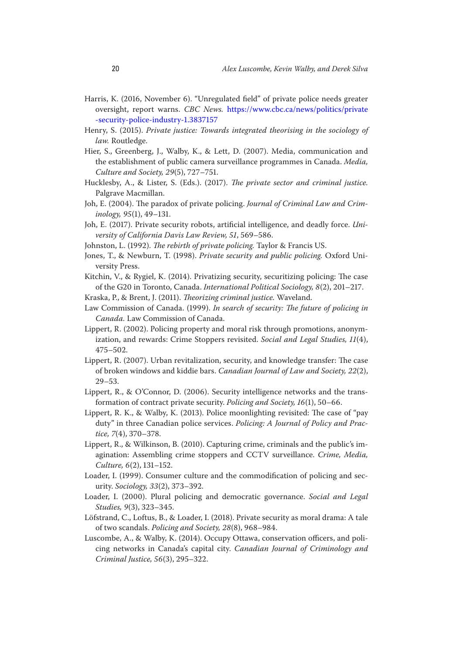- Harris, K. (2016, November 6). "Unregulated field" of private police needs greater oversight, report warns. *CBC News.* [https://www.cbc.ca/news/politics/private](https://www.cbc.ca/news/politics/private-security-police-industry-1.3837157)  [-security-police-industry-1.3837157](https://www.cbc.ca/news/politics/private-security-police-industry-1.3837157)
- Henry, S. (2015). *Private justice: Towards integrated theorising in the sociology of law.* Routledge.
- Hier, S., Greenberg, J., Walby, K., & Lett, D. (2007). Media, communication and the establishment of public camera surveillance programmes in Canada. *Media, Culture and Society, 29*(5), 727–751.
- Hucklesby, A., & Lister, S. (Eds.). (2017). *The private sector and criminal justice.*  Palgrave Macmillan.
- Joh, E. (2004). The paradox of private policing. *Journal of Criminal Law and Criminology, 95*(1), 49–131.
- Joh, E. (2017). Private security robots, artificial intelligence, and deadly force. *University of California Davis Law Review, 51*, 569–586.
- Johnston, L. (1992). *The rebirth of private policing.* Taylor & Francis US.
- Jones, T., & Newburn, T. (1998). *Private security and public policing.* Oxford University Press.
- Kitchin, V., & Rygiel, K. (2014). Privatizing security, securitizing policing: The case of the G20 in Toronto, Canada. *International Political Sociology, 8*(2), 201–217.
- Kraska, P., & Brent, J. (2011). *Theorizing criminal justice.* Waveland.
- Law Commission of Canada. (1999). *In search of security: The future of policing in Canada.* Law Commission of Canada.
- Lippert, R. (2002). Policing property and moral risk through promotions, anonymization, and rewards: Crime Stoppers revisited. *Social and Legal Studies, 11*(4), 475–502.
- Lippert, R. (2007). Urban revitalization, security, and knowledge transfer: The case of broken windows and kiddie bars. *Canadian Journal of Law and Society, 22*(2), 29–53.
- Lippert, R., & O'Connor, D. (2006). Security intelligence networks and the transformation of contract private security. *Policing and Society, 16*(1), 50–66.
- Lippert, R. K., & Walby, K. (2013). Police moonlighting revisited: The case of "pay duty" in three Canadian police services. *Policing: A Journal of Policy and Practice, 7*(4), 370–378.
- Lippert, R., & Wilkinson, B. (2010). Capturing crime, criminals and the public's imagination: Assembling crime stoppers and CCTV surveillance. *Crime, Media, Culture, 6*(2), 131–152.
- Loader, I. (1999). Consumer culture and the commodification of policing and security. *Sociology, 33*(2), 373–392.
- Loader, I. (2000). Plural policing and democratic governance. *Social and Legal Studies, 9*(3), 323–345.
- Löfstrand, C., Loftus, B., & Loader, I. (2018). Private security as moral drama: A tale of two scandals. *Policing and Society, 28*(8), 968–984.
- Luscombe, A., & Walby, K. (2014). Occupy Ottawa, conservation officers, and policing networks in Canada's capital city. *Canadian Journal of Criminology and Criminal Justice, 56*(3), 295–322.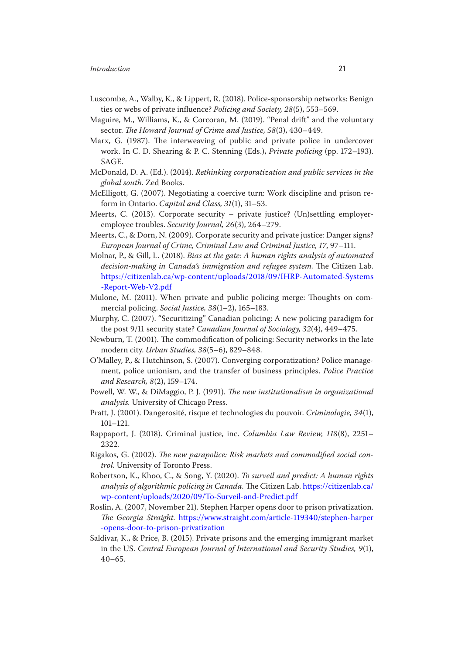- Luscombe, A., Walby, K., & Lippert, R. (2018). Police-sponsorship networks: Benign ties or webs of private influence? *Policing and Society, 28*(5), 553–569.
- Maguire, M., Williams, K., & Corcoran, M. (2019). "Penal drift" and the voluntary sector. *The Howard Journal of Crime and Justice, 58*(3), 430–449.
- Marx, G. (1987). The interweaving of public and private police in undercover work. In C. D. Shearing & P. C. Stenning (Eds.), *Private policing* (pp. 172–193). **SAGE.**
- McDonald, D. A. (Ed.). (2014). *Rethinking corporatization and public services in the global south.* Zed Books.
- McElligott, G. (2007). Negotiating a coercive turn: Work discipline and prison reform in Ontario. *Capital and Class, 31*(1), 31–53.
- Meerts, C. (2013). Corporate security private justice? (Un)settling employeremployee troubles. *Security Journal, 26*(3), 264–279.
- Meerts, C., & Dorn, N. (2009). Corporate security and private justice: Danger signs? *European Journal of Crime, Criminal Law and Criminal Justice, 17*, 97–111.
- Molnar, P., & Gill, L. (2018). *Bias at the gate: A human rights analysis of automated decisionmaking in Canada's immigration and refugee system.* The Citizen Lab. [https://citizenlab.ca/wp-content/uploads/2018/09/IHRP-Automated-Systems](https://citizenlab.ca/wp-content/uploads/2018/09/IHRP-Automated-Systems-Report-Web-V2.pdf)  [-Report-Web-V2.pdf](https://citizenlab.ca/wp-content/uploads/2018/09/IHRP-Automated-Systems-Report-Web-V2.pdf)
- Mulone, M. (2011). When private and public policing merge: Thoughts on commercial policing. *Social Justice, 38*(1–2), 165–183.
- Murphy, C. (2007). "Securitizing" Canadian policing: A new policing paradigm for the post 9/11 security state? *Canadian Journal of Sociology, 32*(4), 449–475.
- Newburn, T. (2001). The commodification of policing: Security networks in the late modern city. *Urban Studies, 38*(5–6), 829–848.
- O'Malley, P., & Hutchinson, S. (2007). Converging corporatization? Police management, police unionism, and the transfer of business principles. *Police Practice and Research, 8*(2), 159–174.
- Powell, W. W., & DiMaggio, P. J. (1991). *The new institutionalism in organizational analysis.* University of Chicago Press.
- Pratt, J. (2001). Dangerosité, risque et technologies du pouvoir. *Criminologie, 34*(1), 101–121.
- Rappaport, J. (2018). Criminal justice, inc. *Columbia Law Review, 118*(8), 2251– 2322.
- Rigakos, G. (2002). *The new parapolice: Risk markets and commodified social control.* University of Toronto Press.
- Robertson, K., Khoo, C., & Song, Y. (2020). *To surveil and predict: A human rights analysis of algorithmic policing in Canada.* The Citizen Lab. [https://citizenlab.ca/](https://citizenlab.ca/wp-content/uploads/2020/09/To-Surveil-and-Predict.pdf)  [wp-content/uploads/2020/09/To-Surveil-and-Predict.pdf](https://citizenlab.ca/wp-content/uploads/2020/09/To-Surveil-and-Predict.pdf)
- Roslin, A. (2007, November 21). Stephen Harper opens door to prison privatization. *The Georgia Straight.* [https://www.straight.com/article-119340/stephen-harper](https://www.straight.com/article-119340/stephen-harper-opens-door-to-prison-privatization)  [-opens-door-to-prison-privatization](https://www.straight.com/article-119340/stephen-harper-opens-door-to-prison-privatization)
- Saldivar, K., & Price, B. (2015). Private prisons and the emerging immigrant market in the US. *Central European Journal of International and Security Studies, 9*(1),  $40 - 65$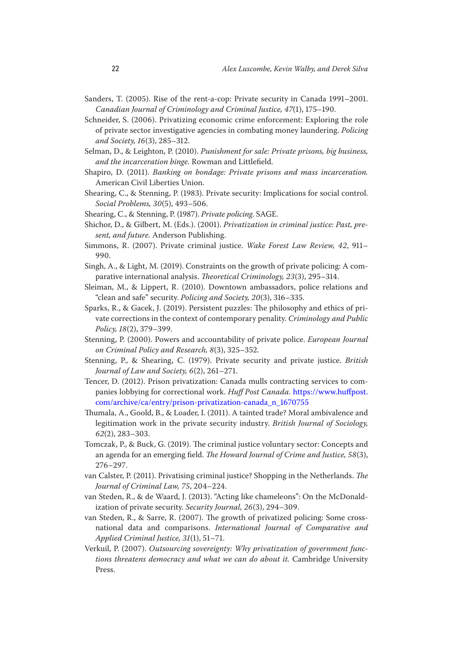- Sanders, T. (2005). Rise of the rent-a-cop: Private security in Canada 1991–2001. *Canadian Journal of Criminology and Criminal Justice, 47*(1), 175–190.
- Schneider, S. (2006). Privatizing economic crime enforcement: Exploring the role of private sector investigative agencies in combating money laundering. *Policing and Society, 16*(3), 285–312.
- Selman, D., & Leighton, P. (2010). *Punishment for sale: Private prisons, big business, and the incarceration binge.* Rowman and Littlefield.
- Shapiro, D. (2011). *Banking on bondage: Private prisons and mass incarceration.*  American Civil Liberties Union.
- Shearing, C., & Stenning, P. (1983). Private security: Implications for social control. *Social Problems, 30*(5), 493–506.
- Shearing, C., & Stenning, P. (1987). *Private policing*. SAGE.
- Shichor, D., & Gilbert, M. (Eds.). (2001). *Privatization in criminal justice: Past, present, and future.* Anderson Publishing.
- Simmons, R. (2007). Private criminal justice. *Wake Forest Law Review, 42*, 911– 990.
- Singh, A., & Light, M. (2019). Constraints on the growth of private policing: A comparative international analysis. *Theoretical Criminology, 23*(3), 295–314.
- Sleiman, M., & Lippert, R. (2010). Downtown ambassadors, police relations and "clean and safe" security. *Policing and Society, 20*(3), 316–335.
- Sparks, R., & Gacek, J. (2019). Persistent puzzles: The philosophy and ethics of private corrections in the context of contemporary penality. *Criminology and Public Policy, 18*(2), 379–399.
- Stenning, P. (2000). Powers and accountability of private police. *European Journal on Criminal Policy and Research, 8*(3), 325–352.
- Stenning, P., & Shearing, C. (1979). Private security and private justice. *British Journal of Law and Society, 6*(2), 261–271.
- Tencer, D. (2012). Prison privatization: Canada mulls contracting services to companies lobbying for correctional work. *Huff Post Canada.* [https://www.huffpost.](https://www.huffpost.com/archive/ca/entry/prison-privatization-canada_n_1670755)  [com/archive/ca/entry/prison-privatization-canada\\_n\\_1670755](https://www.huffpost.com/archive/ca/entry/prison-privatization-canada_n_1670755)
- Thumala, A., Goold, B., & Loader, I. (2011). A tainted trade? Moral ambivalence and legitimation work in the private security industry. *British Journal of Sociology, 62*(2), 283–303.
- Tomczak, P., & Buck, G. (2019). The criminal justice voluntary sector: Concepts and an agenda for an emerging field. *The Howard Journal of Crime and Justice, 58*(3), 276–297.
- van Calster, P. (2011). Privatising criminal justice? Shopping in the Netherlands. *The Journal of Criminal Law, 75*, 204–224.
- van Steden, R., & de Waard, J. (2013). "Acting like chameleons": On the McDonaldization of private security. *Security Journal, 26*(3), 294–309.
- van Steden, R., & Sarre, R. (2007). The growth of privatized policing: Some crossnational data and comparisons. *International Journal of Comparative and Applied Criminal Justice, 31*(1), 51–71.
- Verkuil, P. (2007). *Outsourcing sovereignty: Why privatization of government functions threatens democracy and what we can do about it.* Cambridge University Press.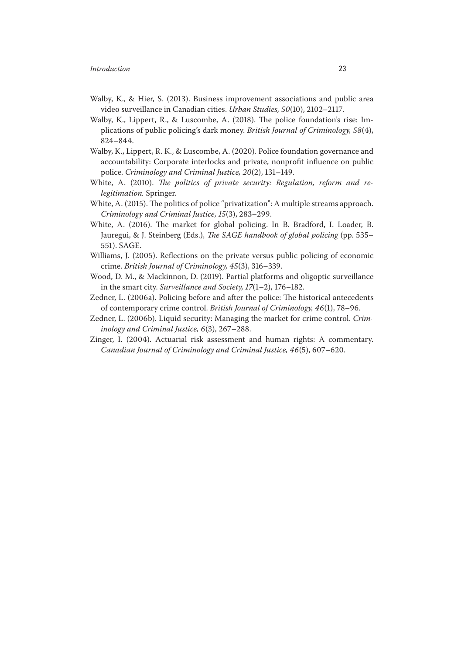- Walby, K., & Hier, S. (2013). Business improvement associations and public area video surveillance in Canadian cities. *Urban Studies, 50*(10), 2102–2117.
- Walby, K., Lippert, R., & Luscombe, A. (2018). The police foundation's rise: Implications of public policing's dark money. *British Journal of Criminology, 58*(4), 824–844.
- Walby, K., Lippert, R. K., & Luscombe, A. (2020). Police foundation governance and accountability: Corporate interlocks and private, nonprofit influence on public police. *Criminology and Criminal Justice, 20*(2), 131–149.
- White, A. (2010). *The politics of private security: Regulation, reform and relegitimation.* Springer.
- White, A. (2015). The politics of police "privatization": A multiple streams approach. *Criminology and Criminal Justice, 15*(3), 283–299.
- White, A. (2016). The market for global policing. In B. Bradford, I. Loader, B. Jauregui, & J. Steinberg (Eds.), *The SAGE handbook of global policing* (pp. 535– 551). SAGE.
- Williams, J. (2005). Reflections on the private versus public policing of economic crime. *British Journal of Criminology, 45*(3), 316–339.
- Wood, D. M., & Mackinnon, D. (2019). Partial platforms and oligoptic surveillance in the smart city. *Surveillance and Society, 17*(1–2), 176–182.
- Zedner, L. (2006a). Policing before and after the police: The historical antecedents of contemporary crime control. *British Journal of Criminology, 46*(1), 78–96.
- Zedner, L. (2006b). Liquid security: Managing the market for crime control. *Criminology and Criminal Justice, 6*(3), 267–288.
- Zinger, I. (2004). Actuarial risk assessment and human rights: A commentary. *Canadian Journal of Criminology and Criminal Justice, 46*(5), 607–620.